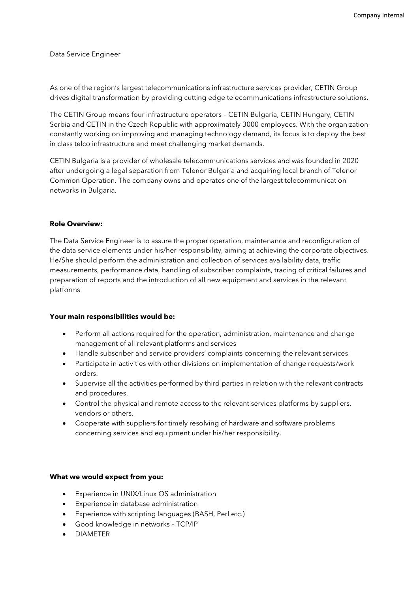Data Service Engineer

As one of the region's largest telecommunications infrastructure services provider, CETIN Group drives digital transformation by providing cutting edge telecommunications infrastructure solutions.

The CETIN Group means four infrastructure operators – CETIN Bulgaria, CETIN Hungary, CETIN Serbia and CETIN in the Czech Republic with approximately 3000 employees. With the organization constantly working on improving and managing technology demand, its focus is to deploy the best in class telco infrastructure and meet challenging market demands.

CETIN Bulgaria is a provider of wholesale telecommunications services and was founded in 2020 after undergoing a legal separation from Telenor Bulgaria and acquiring local branch of Telenor Common Operation. The company owns and operates one of the largest telecommunication networks in Bulgaria.

## **Role Overview:**

The Data Service Engineer is to assure the proper operation, maintenance and reconfiguration of the data service elements under his/her responsibility, aiming at achieving the corporate objectives. He/She should perform the administration and collection of services availability data, traffic measurements, performance data, handling of subscriber complaints, tracing of critical failures and preparation of reports and the introduction of all new equipment and services in the relevant platforms

## **Your main responsibilities would be:**

- Perform all actions required for the operation, administration, maintenance and change management of all relevant platforms and services
- Handle subscriber and service providers' complaints concerning the relevant services
- Participate in activities with other divisions on implementation of change requests/work orders.
- Supervise all the activities performed by third parties in relation with the relevant contracts and procedures.
- Control the physical and remote access to the relevant services platforms by suppliers, vendors or others.
- Cooperate with suppliers for timely resolving of hardware and software problems concerning services and equipment under his/her responsibility.

## **What we would expect from you:**

- Experience in UNIX/Linux OS administration
- Experience in database administration
- Experience with scripting languages (BASH, Perl etc.)
- Good knowledge in networks TCP/IP
- DIAMETER